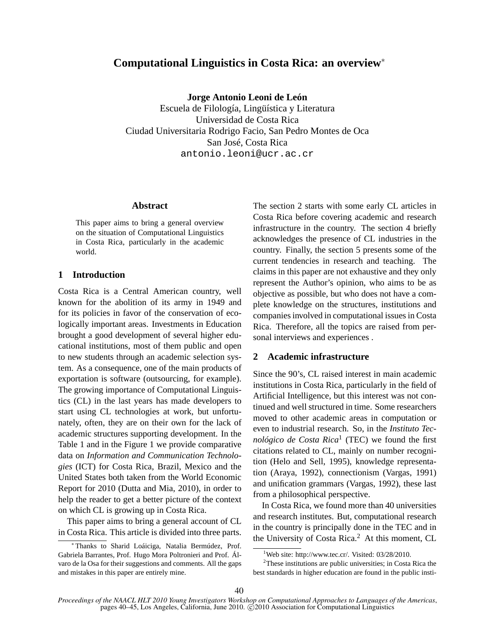# **Computational Linguistics in Costa Rica: an overview**<sup>∗</sup>

**Jorge Antonio Leoni de León**

Escuela de Filología, Lingüística y Literatura Universidad de Costa Rica Ciudad Universitaria Rodrigo Facio, San Pedro Montes de Oca San José, Costa Rica antonio.leoni@ucr.ac.cr

#### **Abstract**

This paper aims to bring a general overview on the situation of Computational Linguistics in Costa Rica, particularly in the academic world.

### **1 Introduction**

Costa Rica is a Central American country, well known for the abolition of its army in 1949 and for its policies in favor of the conservation of ecologically important areas. Investments in Education brought a good development of several higher educational institutions, most of them public and open to new students through an academic selection system. As a consequence, one of the main products of exportation is software (outsourcing, for example). The growing importance of Computational Linguistics (CL) in the last years has made developers to start using CL technologies at work, but unfortunately, often, they are on their own for the lack of academic structures supporting development. In the Table 1 and in the Figure 1 we provide comparative data on *Information and Communication Technologies* (ICT) for Costa Rica, Brazil, Mexico and the United States both taken from the World Economic Report for 2010 (Dutta and Mia, 2010), in order to help the reader to get a better picture of the context on which CL is growing up in Costa Rica.

This paper aims to bring a general account of CL in Costa Rica. This article is divided into three parts.

The section 2 starts with some early CL articles in Costa Rica before covering academic and research infrastructure in the country. The section 4 briefly acknowledges the presence of CL industries in the country. Finally, the section 5 presents some of the current tendencies in research and teaching. The claims in this paper are not exhaustive and they only represent the Author's opinion, who aims to be as objective as possible, but who does not have a complete knowledge on the structures, institutions and companies involved in computational issues in Costa Rica. Therefore, all the topics are raised from personal interviews and experiences .

# **2 Academic infrastructure**

Since the 90's, CL raised interest in main academic institutions in Costa Rica, particularly in the field of Artificial Intelligence, but this interest was not continued and well structured in time. Some researchers moved to other academic areas in computation or even to industrial research. So, in the *Instituto Tecnológico de Costa Rica*<sup>1</sup> (TEC) we found the first citations related to CL, mainly on number recognition (Helo and Sell, 1995), knowledge representation (Araya, 1992), connectionism (Vargas, 1991) and unification grammars (Vargas, 1992), these last from a philosophical perspective.

In Costa Rica, we found more than 40 universities and research institutes. But, computational research in the country is principally done in the TEC and in the University of Costa Rica.<sup>2</sup> At this moment, CL

<sup>∗</sup> Thanks to Sharid Loáiciga, Natalia Bermúdez, Prof. Gabriela Barrantes, Prof. Hugo Mora Poltronieri and Prof. Álvaro de la Osa for their suggestions and comments. All the gaps and mistakes in this paper are entirely mine.

<sup>&</sup>lt;sup>1</sup>Web site: http://www.tec.cr/. Visited: 03/28/2010.

<sup>2</sup>These institutions are public universities; in Costa Rica the best standards in higher education are found in the public insti-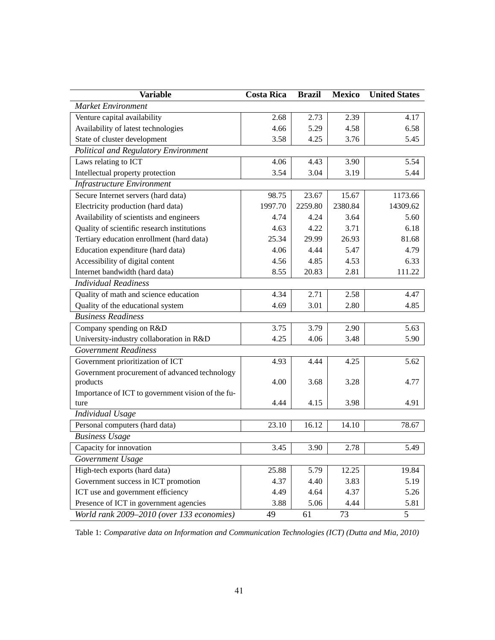| <b>Variable</b>                                   | <b>Costa Rica</b> | <b>Brazil</b> | <b>Mexico</b> | <b>United States</b> |
|---------------------------------------------------|-------------------|---------------|---------------|----------------------|
| <b>Market Environment</b>                         |                   |               |               |                      |
| Venture capital availability                      | 2.68              | 2.73          | 2.39          | 4.17                 |
| Availability of latest technologies               | 4.66              | 5.29          | 4.58          | 6.58                 |
| State of cluster development                      | 3.58              | 4.25          | 3.76          | 5.45                 |
| <b>Political and Regulatory Environment</b>       |                   |               |               |                      |
| Laws relating to ICT                              | 4.06              | 4.43          | 3.90          | 5.54                 |
| Intellectual property protection                  | 3.54              | 3.04          | 3.19          | 5.44                 |
| <b>Infrastructure Environment</b>                 |                   |               |               |                      |
| Secure Internet servers (hard data)               | 98.75             | 23.67         | 15.67         | 1173.66              |
| Electricity production (hard data)                | 1997.70           | 2259.80       | 2380.84       | 14309.62             |
| Availability of scientists and engineers          | 4.74              | 4.24          | 3.64          | 5.60                 |
| Quality of scientific research institutions       | 4.63              | 4.22          | 3.71          | 6.18                 |
| Tertiary education enrollment (hard data)         | 25.34             | 29.99         | 26.93         | 81.68                |
| Education expenditure (hard data)                 | 4.06              | 4.44          | 5.47          | 4.79                 |
| Accessibility of digital content                  | 4.56              | 4.85          | 4.53          | 6.33                 |
| Internet bandwidth (hard data)                    | 8.55              | 20.83         | 2.81          | 111.22               |
| <b>Individual Readiness</b>                       |                   |               |               |                      |
| Quality of math and science education             | 4.34              | 2.71          | 2.58          | 4.47                 |
| Quality of the educational system                 | 4.69              | 3.01          | 2.80          | 4.85                 |
| <b>Business Readiness</b>                         |                   |               |               |                      |
| Company spending on R&D                           | 3.75              | 3.79          | 2.90          | 5.63                 |
| University-industry collaboration in R&D          | 4.25              | 4.06          | 3.48          | 5.90                 |
| <b>Government Readiness</b>                       |                   |               |               |                      |
| Government prioritization of ICT                  | 4.93              | 4.44          | 4.25          | 5.62                 |
| Government procurement of advanced technology     |                   |               |               |                      |
| products                                          | 4.00              | 3.68          | 3.28          | 4.77                 |
| Importance of ICT to government vision of the fu- |                   |               |               |                      |
| ture                                              | 4.44              | 4.15          | 3.98          | 4.91                 |
| <b>Individual Usage</b>                           |                   |               |               |                      |
| Personal computers (hard data)                    | 23.10             | 16.12         | 14.10         | 78.67                |
| <b>Business Usage</b>                             |                   |               |               |                      |
| Capacity for innovation                           | 3.45              | 3.90          | 2.78          | 5.49                 |
| Government Usage                                  |                   |               |               |                      |
| High-tech exports (hard data)                     | 25.88             | 5.79          | 12.25         | 19.84                |
| Government success in ICT promotion               | 4.37              | 4.40          | 3.83          | 5.19                 |
| ICT use and government efficiency                 | 4.49              | 4.64          | 4.37          | 5.26                 |
| Presence of ICT in government agencies            | 3.88              | 5.06          | 4.44          | 5.81                 |
| World rank 2009-2010 (over 133 economies)         | 49                | 61            | 73            | $\overline{5}$       |

Table 1: *Comparative data on Information and Communication Technologies (ICT) (Dutta and Mia, 2010)*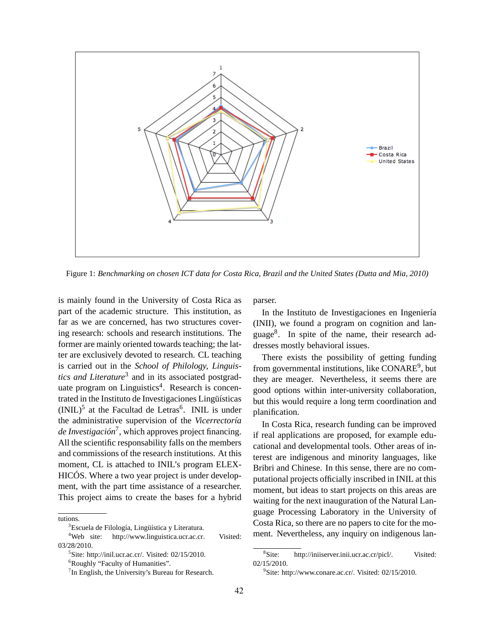

Figure 1: *Benchmarking on chosen ICT data for Costa Rica, Brazil and the United States (Dutta and Mia, 2010)*

is mainly found in the University of Costa Rica as part of the academic structure. This institution, as far as we are concerned, has two structures covering research: schools and research institutions. The former are mainly oriented towards teaching; the latter are exclusively devoted to research. CL teaching is carried out in the *School of Philology, Linguis*tics and Literature<sup>3</sup> and in its associated postgraduate program on Linguistics<sup>4</sup>. Research is concentrated in the Instituto de Investigaciones Lingüísticas  $(INIL)^5$  at the Facultad de Letras<sup>6</sup>. INIL is under the administrative supervision of the *Vicerrectoría de Investigación*<sup>7</sup> , which approves project financing. All the scientific responsability falls on the members and commissions of the research institutions. At this moment, CL is attached to INIL's program ELEX-HICÓS. Where a two year project is under development, with the part time assistance of a researcher. This project aims to create the bases for a hybrid

parser.

In the Instituto de Investigaciones en Ingeniería (INII), we found a program on cognition and language<sup>8</sup>. In spite of the name, their research addresses mostly behavioral issues.

There exists the possibility of getting funding from governmental institutions, like CONARE<sup>9</sup>, but they are meager. Nevertheless, it seems there are good options within inter-university collaboration, but this would require a long term coordination and planification.

In Costa Rica, research funding can be improved if real applications are proposed, for example educational and developmental tools. Other areas of interest are indigenous and minority languages, like Bribri and Chinese. In this sense, there are no computational projects officially inscribed in INIL at this moment, but ideas to start projects on this areas are waiting for the next inauguration of the Natural Language Processing Laboratory in the University of Costa Rica, so there are no papers to cite for the moment. Nevertheless, any inquiry on indigenous lan-

tutions.

<sup>&</sup>lt;sup>3</sup>Escuela de Filología, Lingüística y Literatura.<br><sup>4</sup>Web site: http://www.linguistica.ucr.ac.cr. http://www.linguistica.ucr.ac.cr. Visited: 03/28/2010.

<sup>5</sup> Site: http://inil.ucr.ac.cr/. Visited: 02/15/2010.

<sup>&</sup>lt;sup>6</sup>Roughly "Faculty of Humanities".

<sup>&</sup>lt;sup>7</sup> In English, the University's Bureau for Research.

 $8$ Site: http://iniiserver.inii.ucr.ac.cr/picl/. Visited: 02/15/2010.

<sup>&</sup>lt;sup>9</sup>Site: http://www.conare.ac.cr/. Visited: 02/15/2010.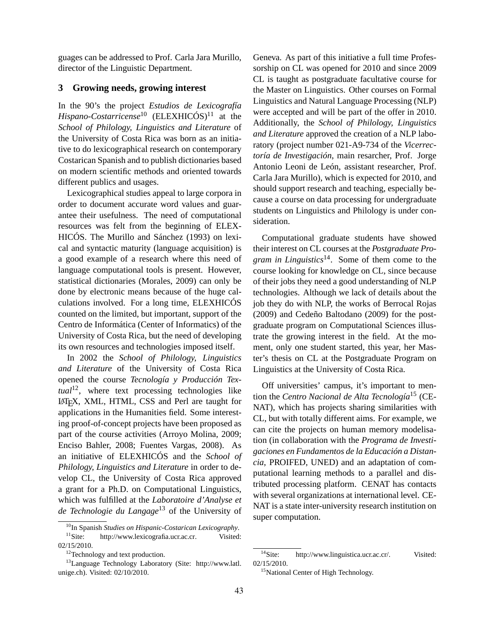guages can be addressed to Prof. Carla Jara Murillo, director of the Linguistic Department.

### **3 Growing needs, growing interest**

In the 90's the project *Estudios de Lexicografía Hispano-Costarricense*<sup>10</sup> (ELEXHICÓS)<sup>11</sup> at the *School of Philology, Linguistics and Literature* of the University of Costa Rica was born as an initiative to do lexicographical research on contemporary Costarican Spanish and to publish dictionaries based on modern scientific methods and oriented towards different publics and usages.

Lexicographical studies appeal to large corpora in order to document accurate word values and guarantee their usefulness. The need of computational resources was felt from the beginning of ELEX-HICÓS. The Murillo and Sánchez (1993) on lexical and syntactic maturity (language acquisition) is a good example of a research where this need of language computational tools is present. However, statistical dictionaries (Morales, 2009) can only be done by electronic means because of the huge calculations involved. For a long time, ELEXHICÓS counted on the limited, but important, support of the Centro de Informática (Center of Informatics) of the University of Costa Rica, but the need of developing its own resources and technologies imposed itself.

In 2002 the *School of Philology, Linguistics and Literature* of the University of Costa Rica opened the course *Tecnología y Producción Textual*12, where text processing technologies like LATEX, XML, HTML, CSS and Perl are taught for applications in the Humanities field. Some interesting proof-of-concept projects have been proposed as part of the course activities (Arroyo Molina, 2009; Enciso Bahler, 2008; Fuentes Vargas, 2008). As an initiative of ELEXHICÓS and the *School of Philology, Linguistics and Literature* in order to develop CL, the University of Costa Rica approved a grant for a Ph.D. on Computational Linguistics, which was fulfilled at the *Laboratoire d'Analyse et de Technologie du Langage*<sup>13</sup> of the University of Geneva. As part of this initiative a full time Professorship on CL was opened for 2010 and since 2009 CL is taught as postgraduate facultative course for the Master on Linguistics. Other courses on Formal Linguistics and Natural Language Processing (NLP) were accepted and will be part of the offer in 2010. Additionally, the *School of Philology, Linguistics and Literature* approved the creation of a NLP laboratory (project number 021-A9-734 of the *Vicerrectoría de Investigación*, main resarcher, Prof. Jorge Antonio Leoni de León, assistant researcher, Prof. Carla Jara Murillo), which is expected for 2010, and should support research and teaching, especially because a course on data processing for undergraduate students on Linguistics and Philology is under consideration.

Computational graduate students have showed their interest on CL courses at the *Postgraduate Program in Linguistics*14. Some of them come to the course looking for knowledge on CL, since because of their jobs they need a good understanding of NLP technologies. Although we lack of details about the job they do with NLP, the works of Berrocal Rojas (2009) and Cedeño Baltodano (2009) for the postgraduate program on Computational Sciences illustrate the growing interest in the field. At the moment, only one student started, this year, her Master's thesis on CL at the Postgraduate Program on Linguistics at the University of Costa Rica.

Off universities' campus, it's important to mention the *Centro Nacional de Alta Tecnología*<sup>15</sup> (CE-NAT), which has projects sharing similarities with CL, but with totally different aims. For example, we can cite the projects on human memory modelisation (in collaboration with the *Programa de Investigaciones en Fundamentos de la Educación a Distancia*, PROIFED, UNED) and an adaptation of computational learning methods to a parallel and distributed processing platform. CENAT has contacts with several organizations at international level. CE-NAT is a state inter-university research institution on super computation.

<sup>&</sup>lt;sup>10</sup>In Spanish *Studies on Hispanic-Costarican Lexicography*.<br><sup>11</sup> Site: http://www.lexicografia.ucr.ac.cr. Visited http://www.lexicografia.ucr.ac.cr. Visited: 02/15/2010.

<sup>&</sup>lt;sup>12</sup>Technology and text production.

<sup>13</sup>Language Technology Laboratory (Site: http://www.latl. unige.ch). Visited: 02/10/2010.

<sup>&</sup>lt;sup>14</sup>Site: http://www.linguistica.ucr.ac.cr/. Visited: 02/15/2010.

<sup>&</sup>lt;sup>15</sup>National Center of High Technology.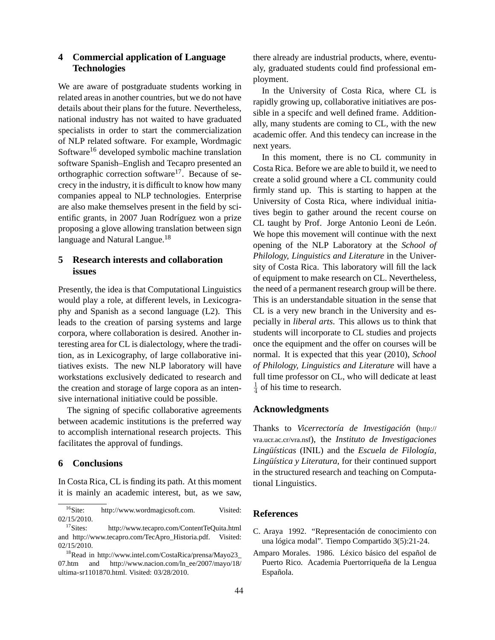## **4 Commercial application of Language Technologies**

We are aware of postgraduate students working in related areas in another countries, but we do not have details about their plans for the future. Nevertheless, national industry has not waited to have graduated specialists in order to start the commercialization of NLP related software. For example, Wordmagic Software<sup>16</sup> developed symbolic machine translation software Spanish–English and Tecapro presented an orthographic correction software $17$ . Because of secrecy in the industry, it is difficult to know how many companies appeal to NLP technologies. Enterprise are also make themselves present in the field by scientific grants, in 2007 Juan Rodríguez won a prize proposing a glove allowing translation between sign language and Natural Langue.<sup>18</sup>

# **5 Research interests and collaboration issues**

Presently, the idea is that Computational Linguistics would play a role, at different levels, in Lexicography and Spanish as a second language (L2). This leads to the creation of parsing systems and large corpora, where collaboration is desired. Another interesting area for CL is dialectology, where the tradition, as in Lexicography, of large collaborative initiatives exists. The new NLP laboratory will have workstations exclusively dedicated to research and the creation and storage of large copora as an intensive international initiative could be possible.

The signing of specific collaborative agreements between academic institutions is the preferred way to accomplish international research projects. This facilitates the approval of fundings.

### **6 Conclusions**

In Costa Rica, CL is finding its path. At this moment it is mainly an academic interest, but, as we saw,

there already are industrial products, where, eventualy, graduated students could find professional employment.

In the University of Costa Rica, where CL is rapidly growing up, collaborative initiatives are possible in a specifc and well defined frame. Additionally, many students are coming to CL, with the new academic offer. And this tendecy can increase in the next years.

In this moment, there is no CL community in Costa Rica. Before we are able to build it, we need to create a solid ground where a CL community could firmly stand up. This is starting to happen at the University of Costa Rica, where individual initiatives begin to gather around the recent course on CL taught by Prof. Jorge Antonio Leoni de León. We hope this movement will continue with the next opening of the NLP Laboratory at the *School of Philology, Linguistics and Literature* in the University of Costa Rica. This laboratory will fill the lack of equipment to make research on CL. Nevertheless, the need of a permanent research group will be there. This is an understandable situation in the sense that CL is a very new branch in the University and especially in *liberal arts*. This allows us to think that students will incorporate to CL studies and projects once the equipment and the offer on courses will be normal. It is expected that this year (2010), *School of Philology, Linguistics and Literature* will have a full time professor on CL, who will dedicate at least 1  $\frac{1}{4}$  of his time to research.

#### **Acknowledgments**

Thanks to *Vicerrectoría de Investigación* (http:// vra.ucr.ac.cr/vra.nsf), the *Instituto de Investigaciones Lingüísticas* (INIL) and the *Escuela de Filología, Lingüística y Literatura*, for their continued support in the structured research and teaching on Computational Linguistics.

#### **References**

- C. Araya 1992. "Representación de conocimiento con una lógica modal". Tiempo Compartido 3(5):21-24.
- Amparo Morales. 1986. Léxico básico del español de Puerto Rico. Academia Puertorriqueña de la Lengua Española.

<sup>&</sup>lt;sup>16</sup>Site: http://www.wordmagicsoft.com. Visited: 02/15/2010.

<sup>&</sup>lt;sup>17</sup>Sites: http://www.tecapro.com/ContentTeQuita.html and http://www.tecapro.com/TecApro\_Historia.pdf. Visited: 02/15/2010.

<sup>18</sup>Read in http://www.intel.com/CostaRica/prensa/Mayo23\_ 07.htm and http://www.nacion.com/ln\_ee/2007/mayo/18/ ultima-sr1101870.html. Visited: 03/28/2010.